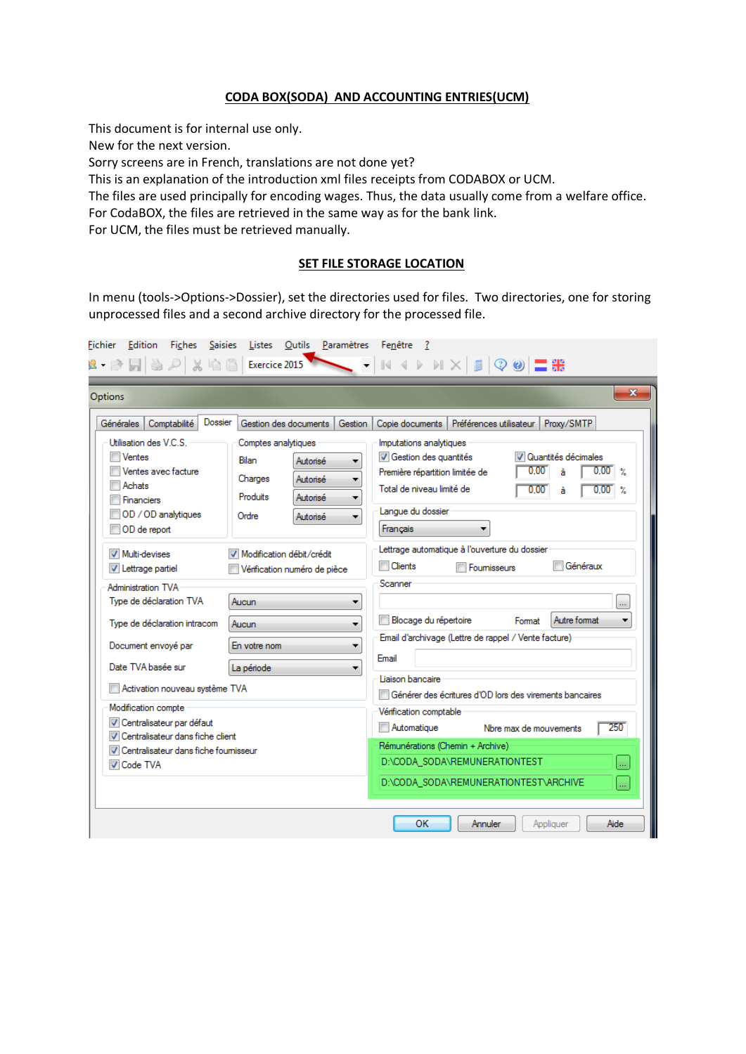## **CODA BOX(SODA) AND ACCOUNTING ENTRIES(UCM)**

This document is for internal use only.

New for the next version.

Sorry screens are in French, translations are not done yet?

This is an explanation of the introduction xml files receipts from CODABOX or UCM.

The files are used principally for encoding wages. Thus, the data usually come from a welfare office.

For CodaBOX, the files are retrieved in the same way as for the bank link.

For UCM, the files must be retrieved manually.

#### **SET FILE STORAGE LOCATION**

In menu (tools->Options->Dossier), set the directories used for files. Two directories, one for storing unprocessed files and a second archive directory for the processed file.

| Options                                                                                                                                                                                                                                                                                                                                                                                                                                                                                                                                                    |                                                                                                                                                                                                                                                                         | $\mathbf{x}$                                                                                                                                                                                                                                                                                                                                                                                                                                                                                                                                                                                                                                                                                                                                                                                                                                          |
|------------------------------------------------------------------------------------------------------------------------------------------------------------------------------------------------------------------------------------------------------------------------------------------------------------------------------------------------------------------------------------------------------------------------------------------------------------------------------------------------------------------------------------------------------------|-------------------------------------------------------------------------------------------------------------------------------------------------------------------------------------------------------------------------------------------------------------------------|-------------------------------------------------------------------------------------------------------------------------------------------------------------------------------------------------------------------------------------------------------------------------------------------------------------------------------------------------------------------------------------------------------------------------------------------------------------------------------------------------------------------------------------------------------------------------------------------------------------------------------------------------------------------------------------------------------------------------------------------------------------------------------------------------------------------------------------------------------|
| Dossier<br><b>Générales</b><br>Comptabilité<br>Utilisation des V.C.S.<br>Ventes<br>Ventes avec facture<br>Achats<br><b>Financiers</b><br>OD / OD analytiques<br>OD de report<br>Multi-devises<br>V Lettrage partiel<br><b>Administration TVA</b><br>Type de déclaration TVA<br>Type de déclaration intracom<br>Document envoyé par<br>Date TVA basée sur<br>Activation nouveau système TVA<br>Modification compte<br>V Centralisateur par défaut<br>Centralisateur dans fiche client<br><b>V</b> Centralisateur dans fiche foumisseur<br><b>V</b> Code TVA | Gestion des documents<br>Gestion<br>Comptes analytiques<br>Bilan<br>Autorisé<br>Charges<br>Autorisé<br>Produits<br>Autorisé<br>Ordre<br>Autorisé<br>▼<br>Modification débit/crédit<br>Vérification numéro de pièce<br>Aucun<br>Aucun<br>۰<br>En votre nom<br>La période | Proxy/SMTP<br>Copie documents<br>Préférences utilisateur<br>Imputations analytiques<br>Gestion des quantités<br>V Quantités décimales<br>0.00<br>$0.00\degree$ %<br>à<br>Première répartition limitée de<br>Total de niveau limité de<br>0.00<br>0.00<br>$\gamma$<br>à<br>Langue du dossier<br>Français<br>Lettrage automatique à l'ouverture du dossier<br><b>Clients</b><br>Généraux<br>Fournisseurs<br>Scanner<br>$\ldots$<br>Blocage du répertoire<br>Autre format<br>Format<br>▼<br>Email d'archivage (Lettre de rappel / Vente facture)<br>Email<br>Liaison bancaire<br>Générer des écritures d'OD lors des virements bancaires<br>Vérification comptable<br>250<br>Automatique<br>Nbre max de mouvements<br>Rémunérations (Chemin + Archive)<br>D:\CODA_SODA\REMUNERATIONTEST<br>$\ldots$<br>D:\CODA_SODA\REMUNERATIONTEST\ARCHIVE<br>$\ldots$ |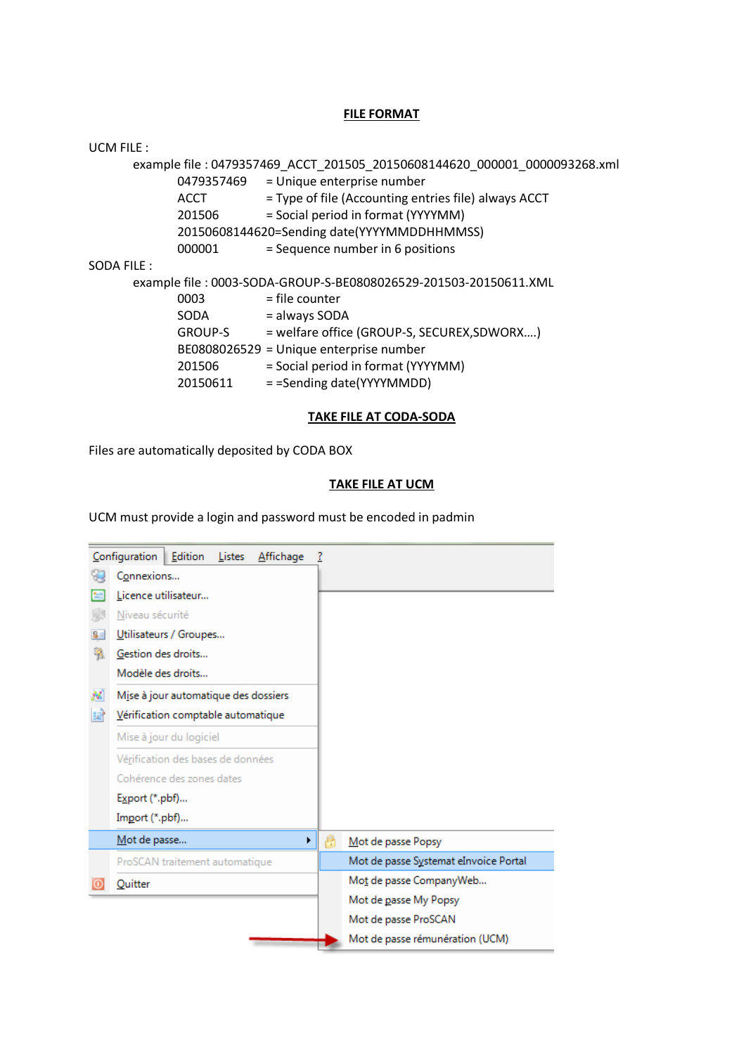#### **FILE FORMAT**

| <b>UCM FILE:</b> |             |                                                                           |
|------------------|-------------|---------------------------------------------------------------------------|
|                  |             | example file: 0479357469 ACCT 201505 20150608144620 000001 0000093268.xml |
|                  | 0479357469  | = Unique enterprise number                                                |
|                  | <b>ACCT</b> | = Type of file (Accounting entries file) always ACCT                      |
|                  | 201506      | = Social period in format (YYYYMM)                                        |
|                  |             | 20150608144620=Sending date(YYYYMMDDHHMMSS)                               |
|                  | 000001      | = Sequence number in 6 positions                                          |
| SODA FILE:       |             |                                                                           |
|                  |             | example file: 0003-SODA-GROUP-S-BE0808026529-201503-20150611.XML          |
|                  | 0003        | = file counter                                                            |
|                  | <b>SODA</b> | = always SODA                                                             |
|                  | GROUP-S     | = welfare office (GROUP-S, SECUREX, SDWORX)                               |
|                  |             | BE0808026529 = Unique enterprise number                                   |
|                  | 201506      | = Social period in format (YYYYMM)                                        |
|                  | 20150611    | = = Sending date(YYYYMMDD)                                                |
|                  |             |                                                                           |

## **TAKE FILE AT CODA-SODA**

Files are automatically deposited by CODA BOX

## **TAKE FILE AT UCM**

UCM must provide a login and password must be encoded in padmin

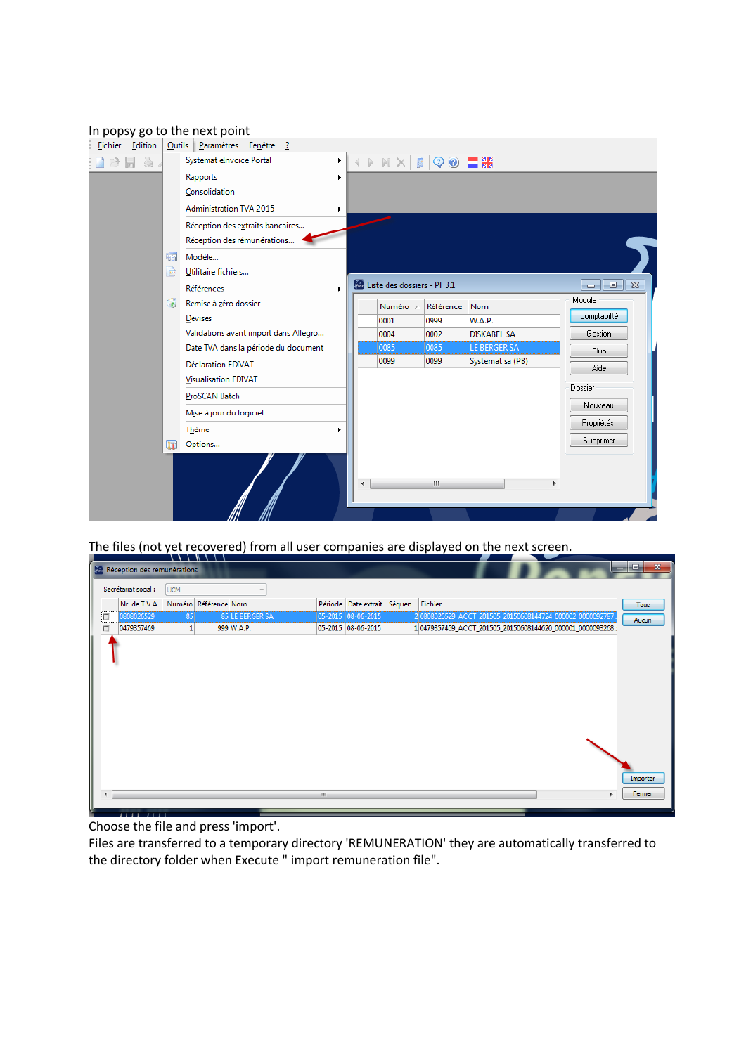## In popsy go to the next point

|               | <b>Eichier</b> Edition |   | Outils Paramètres Fenêtre ?           |   |                             |              |                     |                          |
|---------------|------------------------|---|---------------------------------------|---|-----------------------------|--------------|---------------------|--------------------------|
| $\rightarrow$ | F &                    |   | Systemat eInvoice Portal<br>▸∥        |   |                             |              |                     |                          |
|               |                        |   | Rapports<br>×.                        |   |                             |              |                     |                          |
|               |                        |   | Consolidation                         |   |                             |              |                     |                          |
|               |                        |   | Administration TVA 2015<br>٠          |   |                             |              |                     |                          |
|               |                        |   | Réception des extraits bancaires      |   |                             |              |                     |                          |
|               |                        |   | Réception des rémunérations           |   |                             |              |                     |                          |
|               |                        | 晒 | Modèle                                |   |                             |              |                     |                          |
|               |                        | è | Utilitaire fichiers                   |   |                             |              |                     |                          |
|               |                        |   | Références<br>٠                       |   | Liste des dossiers - PF 3.1 |              |                     | <u>- 191</u><br>$\Sigma$ |
|               |                        | ۵ | Remise à zéro dossier                 |   | Numéro /                    | Référence    | <b>Nom</b>          | Module                   |
|               |                        |   | Devises                               |   | 0001                        | 0999         | <b>W.A.P.</b>       | Comptabilité             |
|               |                        |   | Validations avant import dans Allegro |   | 0004                        | 0002         | <b>DISKABEL SA</b>  | Gestion                  |
|               |                        |   | Date TVA dans la période du document  |   | 0085                        | 0085         | <b>LE BERGER SA</b> | Club                     |
|               |                        |   | <b>Déclaration EDIVAT</b>             |   | 0099                        | 0099         | Systemat sa (PB)    | Aide                     |
|               |                        |   | <b>Visualisation EDIVAT</b>           |   |                             |              |                     | Dossier                  |
|               |                        |   | ProSCAN Batch                         |   |                             |              |                     |                          |
|               |                        |   | Mise à jour du logiciel               |   |                             |              |                     | Nouveau                  |
|               |                        |   | <b>Thème</b>                          |   |                             |              |                     | Propriétés               |
|               |                        | m | Options                               |   |                             |              |                     | Supprimer                |
|               |                        |   |                                       |   |                             |              |                     |                          |
|               |                        |   |                                       | ∢ |                             | $\mathbf{m}$ |                     |                          |
|               |                        |   |                                       |   |                             |              |                     |                          |
|               |                        |   |                                       |   |                             |              |                     |                          |
|               |                        |   |                                       |   |                             |              |                     |                          |

The files (not yet recovered) from all user companies are displayed on the next screen.

|   | <b>Réception des rémunérations</b> |              | . <u>.</u>           |    |                                     |  |  |                                                            | $\overline{\mathbf{x}}$<br>$-10$ |
|---|------------------------------------|--------------|----------------------|----|-------------------------------------|--|--|------------------------------------------------------------|----------------------------------|
|   | Secrétariat social :               | <b>UCM</b>   |                      |    |                                     |  |  |                                                            |                                  |
|   | Nr. de T.V.A.                      |              | Numéro Référence Nom |    | Période Date extrait Séquen Fichier |  |  |                                                            | <b>Tous</b>                      |
| 囗 | 0808026529                         | 85           | 85 LE BERGER SA      |    | 05-2015 08-06-2015                  |  |  | 2 0808026529_ACCT_201505_20150608144724_000002_0000092787. | Aucun                            |
| 口 | 0479357469                         | $\mathbf{1}$ | 999 W.A.P.           |    | 05-2015 08-06-2015                  |  |  | 1 0479357469_ACCT_201505_20150608144620_000001_0000093268. |                                  |
|   |                                    |              |                      |    |                                     |  |  |                                                            |                                  |
|   |                                    |              |                      | m. |                                     |  |  |                                                            | Importer<br>Fermer               |

Choose the file and press 'import'.

Files are transferred to a temporary directory 'REMUNERATION' they are automatically transferred to the directory folder when Execute " import remuneration file".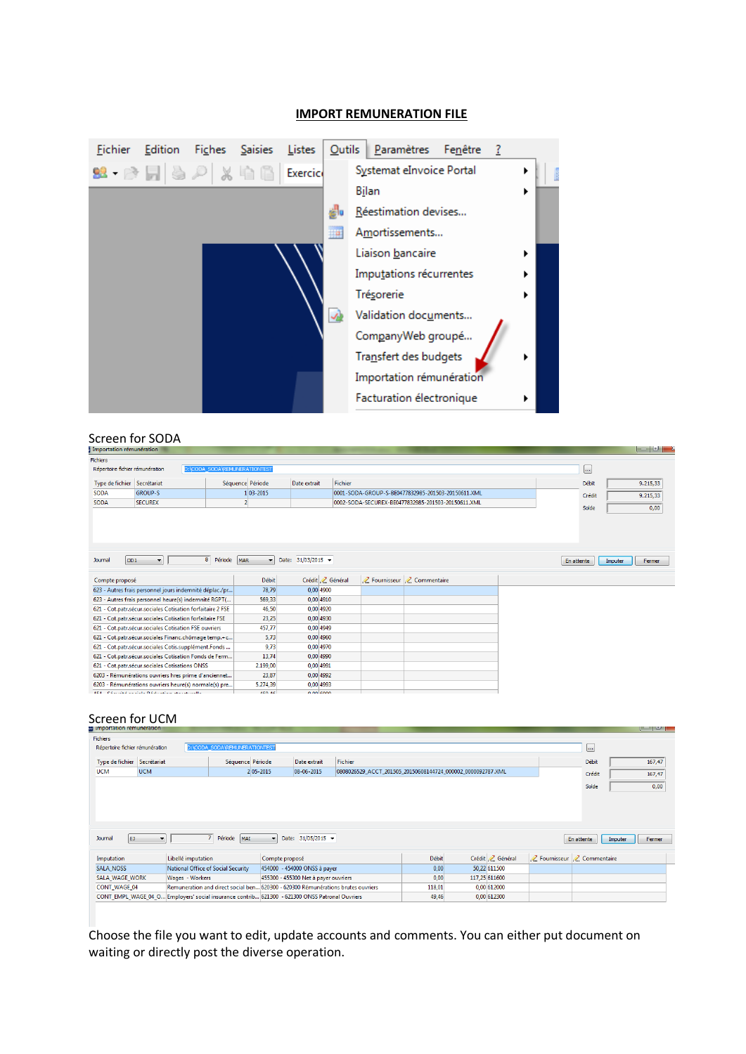

#### **IMPORT REMUNERATION FILE**

## Screen for SODA

| Importation rémunération        |                                                                 |               |                               |                    |                  |                                                    |            | <u>to the local part</u> |
|---------------------------------|-----------------------------------------------------------------|---------------|-------------------------------|--------------------|------------------|----------------------------------------------------|------------|--------------------------|
| <b>Fichiers</b>                 |                                                                 |               |                               |                    |                  |                                                    |            |                          |
| Répertoire fichier rémunération |                                                                 |               | D:\CODA SODA\REMUNERATIONTEST |                    |                  |                                                    | $\sim$     |                          |
|                                 | Séquence Période<br>Type de fichier Secrétariat<br>Date extrait |               |                               |                    |                  |                                                    | Débit      | 9.215,33                 |
| <b>SODA</b>                     | <b>GROUP-S</b>                                                  |               | 1 03-2015                     |                    |                  | 0001-SODA-GROUP-S-BE0477832985-201503-20150611.XML | Crédit     | 9.215,33                 |
| <b>SODA</b>                     | <b>SECUREX</b>                                                  |               |                               |                    |                  | 0002-SODA-SECUREX-BE0477832985-201503-20150611.XML | Solde      | 0,00                     |
|                                 |                                                                 |               |                               |                    |                  |                                                    |            |                          |
|                                 |                                                                 |               |                               |                    |                  |                                                    |            |                          |
|                                 |                                                                 |               |                               |                    |                  |                                                    |            |                          |
|                                 |                                                                 |               |                               |                    |                  |                                                    |            |                          |
|                                 |                                                                 |               |                               |                    |                  |                                                    |            |                          |
| OD <sub>1</sub><br>Journal      | ▾                                                               | 8 Période MAR | $\blacktriangledown$          | Date: 31/03/2015 - |                  |                                                    | En attente | Imputer<br>Fermer        |
| Compte proposé                  |                                                                 |               | <b>Débit</b>                  |                    | Crédit / Général | Z Fournisseur Z Commentaire                        |            |                          |
|                                 | 623 - Autres frais personnel jours indemnité déplac./pr         |               | 78,79                         | 0.00 4900          |                  |                                                    |            |                          |
|                                 | 623 - Autres frais personnel heure(s) indemnité RGPT(           |               | 569,33                        | $0.00$ 4910        |                  |                                                    |            |                          |
|                                 | 621 - Cot.patr.sécur.sociales Cotisation forfaitaire 2 FSE      |               | 46,50                         | 0,00 4920          |                  |                                                    |            |                          |
|                                 | 621 - Cot.patr.sécur.sociales Cotisation forfaitaire FSE        |               | 23,25                         | 0,00 4930          |                  |                                                    |            |                          |
|                                 | 621 - Cot.patr.sécur.sociales Cotisation FSE ouvriers           |               | 457,77                        | 0,00 4949          |                  |                                                    |            |                          |
|                                 | 621 - Cot.patr.sécur.sociales Financ.chômage temp.+c            |               | 5,73                          | 0,00 4960          |                  |                                                    |            |                          |
|                                 | 621 - Cot.patr.sécur.sociales Cotis.supplément.Fonds            |               | 9,73                          | 0,00 4970          |                  |                                                    |            |                          |
|                                 | 621 - Cot.patr.sécur.sociales Cotisation Fonds de Ferm          |               | 13.74                         | 0.00 4990          |                  |                                                    |            |                          |
|                                 | 621 - Cot.patr.sécur.sociales Cotisations ONSS                  |               | 2.199.00                      | 0.00 4991          |                  |                                                    |            |                          |
|                                 | 6203 - Rémunérations ouvriers hres prime d'anciennet            |               | 23,87                         | 0,00 4992          |                  |                                                    |            |                          |
|                                 | 6203 - Rémunérations ouvriers heure(s) normale(s) pre           |               | 5.274,39                      | 0,00 4993          |                  |                                                    |            |                          |
|                                 | ADA - Od straind a a sight. Did should as a supersymptom        |               | ALC: AC                       | 0.00 conn          |                  |                                                    |            |                          |

## Screen for UCM

| Fichiers                    |                                                                                                                        |                    |                                                                                  |                |                                      |                                                             |              |  |                  |                                           |            |                   |
|-----------------------------|------------------------------------------------------------------------------------------------------------------------|--------------------|----------------------------------------------------------------------------------|----------------|--------------------------------------|-------------------------------------------------------------|--------------|--|------------------|-------------------------------------------|------------|-------------------|
|                             | D:\CODA SODA\REMUNERATIONTEST<br>Répertoire fichier rémunération                                                       |                    |                                                                                  |                |                                      |                                                             |              |  |                  |                                           |            |                   |
| Type de fichier Secrétariat |                                                                                                                        |                    | Séquence Période                                                                 |                | Date extrait                         | Débit                                                       | 167,47       |  |                  |                                           |            |                   |
| <b>UCM</b>                  | <b>UCM</b>                                                                                                             |                    | 2 05-2015                                                                        |                | $ 08 - 06 - 2015 $                   | 0808026529_ACCT_201505_20150608144724_000002_0000092787.XML |              |  |                  |                                           | Crédit     | 167,47            |
|                             |                                                                                                                        |                    |                                                                                  |                |                                      |                                                             |              |  |                  |                                           | Solde      | 0,00              |
|                             |                                                                                                                        |                    |                                                                                  |                |                                      |                                                             |              |  |                  |                                           |            |                   |
|                             |                                                                                                                        |                    |                                                                                  |                |                                      |                                                             |              |  |                  |                                           |            |                   |
|                             |                                                                                                                        |                    |                                                                                  |                |                                      |                                                             |              |  |                  |                                           |            |                   |
|                             |                                                                                                                        |                    |                                                                                  |                |                                      |                                                             |              |  |                  |                                           |            |                   |
| EJ.<br>Journal              |                                                                                                                        |                    | $\overline{7}$<br>Période MAI                                                    | $\mathbf{r}$   | Date: 31/05/2015 -                   |                                                             |              |  |                  |                                           | En attente | Imputer<br>Fermer |
|                             |                                                                                                                        |                    |                                                                                  |                |                                      |                                                             |              |  |                  |                                           |            |                   |
| Imputation                  |                                                                                                                        | Libellé imputation |                                                                                  | Compte proposé |                                      |                                                             | <b>Débit</b> |  | Crédit / Général | <b>Z</b> Fournisseur <b>Z</b> Commentaire |            |                   |
| <b>SALA NOSS</b>            |                                                                                                                        |                    | National Office of Social Security                                               |                | 454000 - 454000 ONSS à payer         |                                                             | 0,00         |  | 50,22 611500     |                                           |            |                   |
| SALA_WAGE_WORK              |                                                                                                                        | Wages - Workers    |                                                                                  |                | 455300 - 455300 Net à payer ouvriers |                                                             | 0,00         |  | 117,25 611600    |                                           |            |                   |
| CONT_WAGE_04                |                                                                                                                        |                    | Remuneration and direct social ben 620300 - 620300 Rémunérations brutes ouvriers |                |                                      |                                                             | 118,01       |  | 0,00 612000      |                                           |            |                   |
|                             | 0,00 612300<br>CONT_EMPL_WAGE_04_O Employers' social insurance contrib 621300 - 621300 ONSS Patronal Ouvriers<br>49,46 |                    |                                                                                  |                |                                      |                                                             |              |  |                  |                                           |            |                   |
|                             |                                                                                                                        |                    |                                                                                  |                |                                      |                                                             |              |  |                  |                                           |            |                   |

Choose the file you want to edit, update accounts and comments. You can either put document on waiting or directly post the diverse operation.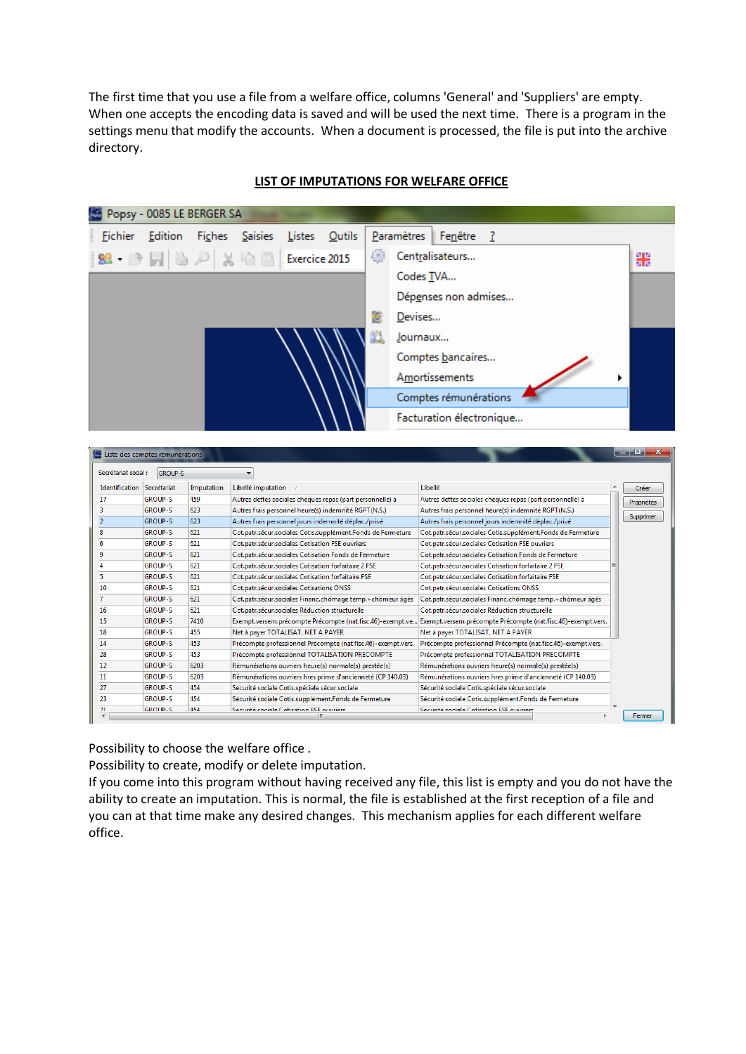The first time that you use a file from a welfare office, columns 'General' and 'Suppliers' are empty. When one accepts the encoding data is saved and will be used the next time. There is a program in the settings menu that modify the accounts. When a document is processed, the file is put into the archive directory.

|                                                                  | Popsy - 0085 LE BERGER SA |            |                                                             |        |               |   |                                                    |                                                              |                                                             |  |            |  |  |
|------------------------------------------------------------------|---------------------------|------------|-------------------------------------------------------------|--------|---------------|---|----------------------------------------------------|--------------------------------------------------------------|-------------------------------------------------------------|--|------------|--|--|
|                                                                  | <b>Eichier</b> Edition    |            | Fiches Saisies                                              | Listes | <b>Outils</b> |   | Paramètres                                         | Fenêtre                                                      |                                                             |  |            |  |  |
|                                                                  |                           |            | <b>99 - 2 月 為 2 % 中国 Exercice 2015</b>                      |        |               | 御 |                                                    | Centralisateurs                                              |                                                             |  | 图图<br>國國   |  |  |
|                                                                  |                           |            |                                                             |        |               |   | Codes TVA                                          |                                                              |                                                             |  |            |  |  |
|                                                                  |                           |            |                                                             |        |               |   |                                                    | Dépenses non admises                                         |                                                             |  |            |  |  |
|                                                                  |                           |            |                                                             |        |               |   |                                                    |                                                              |                                                             |  |            |  |  |
|                                                                  |                           |            |                                                             |        |               | 邕 | Devises                                            |                                                              |                                                             |  |            |  |  |
|                                                                  |                           |            |                                                             |        |               |   | Journaux                                           |                                                              |                                                             |  |            |  |  |
|                                                                  |                           |            |                                                             |        |               |   |                                                    | Comptes bancaires                                            |                                                             |  |            |  |  |
|                                                                  |                           |            |                                                             |        |               |   |                                                    | Amortissements                                               |                                                             |  |            |  |  |
|                                                                  |                           |            |                                                             |        |               |   |                                                    | Comptes rémunérations                                        |                                                             |  |            |  |  |
|                                                                  |                           |            |                                                             |        |               |   |                                                    | Facturation électronique                                     |                                                             |  |            |  |  |
| <b>E Liste des comptes rémunérations</b><br>Secrétariat social : | <b>GROUP-S</b>            |            | $\blacktriangledown$                                        |        |               |   |                                                    |                                                              |                                                             |  | o.         |  |  |
| Identification Secrétariat                                       |                           | Imputation | Libellé imputation                                          |        |               |   |                                                    | Libellé                                                      |                                                             |  | Créer      |  |  |
| 17                                                               | <b>GROUP-S</b>            | 459        | Autres dettes sociales chèques repas (part personnelle) à   |        |               |   |                                                    |                                                              | Autres dettes sociales chèques repas (part personnelle) à   |  | Propriétés |  |  |
| 3                                                                | <b>GROUP-S</b>            | 623        | Autres frais personnel heure(s) indemnité RGPT(N.S.)        |        |               |   |                                                    |                                                              | Autres frais personnel heure(s) indemnité RGPT(N.S.)        |  |            |  |  |
| $\overline{2}$                                                   | <b>GROUP-S</b>            | 623        | Autres frais personnel jours indemnité déplac./privé        |        |               |   |                                                    |                                                              | Autres frais personnel jours indemnité déplac./privé        |  | Supprimer  |  |  |
| 8                                                                | <b>GROUP-S</b>            | 621        | Cot.patr.sécur.sociales Cotis.supplément.Fonds de Fermeture |        |               |   |                                                    |                                                              | Cot.patr.sécur.sociales Cotis.supplément.Fonds de Fermeture |  |            |  |  |
| 6                                                                | <b>GROUP-S</b>            | 621        | Cot.patr.sécur.sociales Cotisation FSE ouvriers             |        |               |   |                                                    |                                                              | Cot.patr.sécur.sociales Cotisation FSE ouvriers             |  |            |  |  |
| 9                                                                | <b>GROUP-S</b>            | 621        | Cot.patr.sécur.sociales Cotisation Fonds de Fermeture       |        |               |   |                                                    | Cot.patr.sécur.sociales Cotisation Fonds de Fermeture        |                                                             |  |            |  |  |
| 4                                                                | <b>GROUP-S</b>            | 621        | Cot.patr.sécur.sociales Cotisation forfaitaire 2 FSE        |        |               |   |                                                    | Cot.patr.sécur.sociales Cotisation forfaitaire 2 FSE         |                                                             |  |            |  |  |
| 5                                                                | <b>GROUP-S</b>            | 621        | Cot.patr.sécur.sociales Cotisation forfaitaire FSE          |        |               |   | Cot.patr.sécur.sociales Cotisation forfaitaire FSE |                                                              |                                                             |  |            |  |  |
| 10                                                               | <b>GROUP-S</b>            | 621        | Cot.patr.sécur.sociales Cotisations ONSS                    |        |               |   |                                                    |                                                              | Cot.patr.sécur.sociales Cotisations ONSS                    |  |            |  |  |
| $\overline{7}$                                                   | <b>GROUP-S</b>            | 621        | Cot.patr.sécur.sociales Financ.chômage temp.+chômeur âgés   |        |               |   |                                                    |                                                              | Cot.patr.sécur.sociales Financ.chômage temp.+chômeur âgés   |  |            |  |  |
| 16                                                               | <b>GROUP-S</b>            | 621        | Cot.patr.sécur.sociales Réduction structurelle              |        |               |   |                                                    |                                                              | Cot.patr.sécur.sociales Réduction structurelle              |  |            |  |  |
| 15                                                               | <b>GROUP-S</b>            | 7410       | Exempt.versem.précompte Précompte (nat.fisc.46)-exempt.ve   |        |               |   |                                                    | Exempt.versem.précompte Précompte (nat.fisc.46)-exempt.vers. |                                                             |  |            |  |  |
| 18                                                               | <b>GROUP-S</b>            | 455        | Net à paver TOTALISAT. NET A PAYER                          |        |               |   |                                                    | Net à payer TOTALISAT. NET A PAYER                           |                                                             |  |            |  |  |

## **LIST OF IMPUTATIONS FOR WELFARE OFFICE**

 $\frac{21}{4}$ 

Possibility to choose the welfare office .

GROUP-S

GROUP-S

GROUP-S

**GROUP-S** 

**GROUP-S** 

GROUP-S

GROUP-S

 $14$ 

 $\overline{28}$ 

 $\overline{12}$ 

 $\overline{11}$  $\overline{27}$ 

 $\overline{23}$ 

453

453

6203

6203

454

A54

 $454$ 

Possibility to create, modify or delete imputation.

If you come into this program without having received any file, this list is empty and you do not have the ability to create an imputation. This is normal, the file is established at the first reception of a file and you can at that time make any desired changes. This mechanism applies for each different welfare office.

Précompte professionnel Précompte (nat.i.sc.40)-exemptives.<br>Précompte professionnel TOTALISATION PRECOMPTE

Rémunérations ouvriers heure(s) normale(s) prestée(s)

Sécurité sociale Cotis.supplément.Fonds de Fermeture

Sécurité sociale Cotis.spéciale sécur.sociale

Sécurité sociale Cotisation ESE ouvriers

Précompte professionnel Précompte (nat.fisc.46)-exempt.vers. Précompte professionnel Précompte (nat.fisc.46)-exempt.vers.

Rémunérations ouvriers hres prime d'ancienneté (CP 140.03) Rémunérations ouvriers hres prime d'ancienneté (CP 140.03)

Précompte professionnel TOTALISATION PRECOMPTE

Rémunérations ouvriers heure(s) normale(s) prestée(s)

Sécurité sociale Cotis.supplément.Fonds de Fermeture

 $\overline{a}$ 

Fermer

Sécurité sociale Cotis.spéciale sécur.sociale

Sécurité sociale Cotisation ESE ouvriers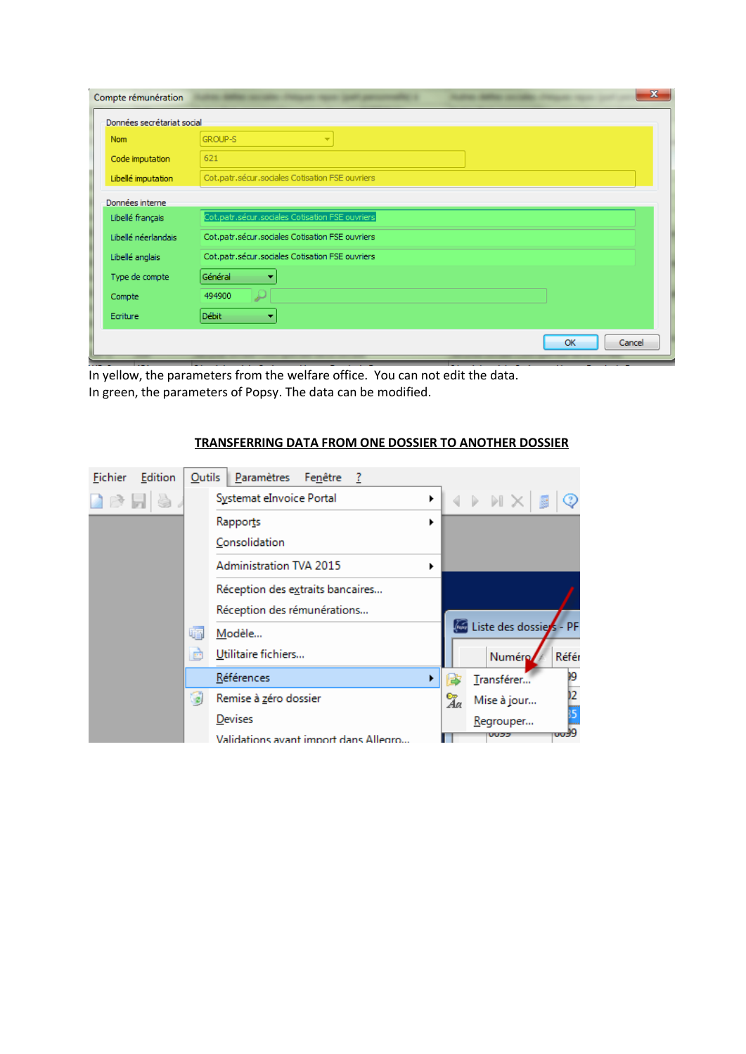| Compte rémunération        |                                                 |
|----------------------------|-------------------------------------------------|
| Données secrétariat social |                                                 |
| <b>Nom</b>                 | <b>GROUP-S</b><br>▼                             |
| Code imputation            | 621                                             |
| Libellé imputation         | Cot.patr.sécur.sociales Cotisation FSE ouvriers |
| Données interne            |                                                 |
| Libellé français           | Cot.patr.sécur.sociales Cotisation FSE ouvriers |
| Libellé néerlandais        | Cot.patr.sécur.sociales Cotisation FSE ouvriers |
| Libellé anglais            | Cot.patr.sécur.sociales Cotisation FSE ouvriers |
| Type de compte             | Général<br>٠                                    |
| Compte                     | 494900                                          |
| Ecriture                   | Débit                                           |
|                            | OK<br>Cancel                                    |

In yellow, the parameters from the welfare office. You can not edit the data. In green, the parameters of Popsy. The data can be modified.

| Edition<br>Fichier                              | <b>Qutils</b> | Paramètres<br>Fenêtre ?               |   |    |                                                               |                  |
|-------------------------------------------------|---------------|---------------------------------------|---|----|---------------------------------------------------------------|------------------|
| $\Box$ $\triangleright$ $\Box$ $\triangleright$ |               | Systemat eInvoice Portal              | ▶ |    | $\leftarrow$ $\mathbb{R}$ $\rightarrow$ $\mathbb{R}$ $\times$ | $\odot$          |
|                                                 |               | Rapports                              | ▶ |    |                                                               |                  |
|                                                 |               | Consolidation                         |   |    |                                                               |                  |
|                                                 |               | <b>Administration TVA 2015</b>        | ▶ |    |                                                               |                  |
|                                                 |               | Réception des extraits bancaires      |   |    |                                                               |                  |
|                                                 |               | Réception des rémunérations           |   |    |                                                               |                  |
|                                                 | 福             | Modèle                                |   |    | Liste des dossies - PF                                        |                  |
|                                                 | E             | Utilitaire fichiers                   |   |    | Numéro/                                                       | Référ            |
|                                                 |               | Références                            |   |    | Transférer                                                    | 99               |
|                                                 | ۵             | Remise à zéro dossier                 |   | Za | Mise à jour                                                   | $\overline{2}$   |
|                                                 |               | Devises                               |   |    | Regrouper                                                     | ĵ5               |
|                                                 |               | Validations avant import dans Allegro |   |    |                                                               | <del>009</del> 9 |

# **TRANSFERRING DATA FROM ONE DOSSIER TO ANOTHER DOSSIER**